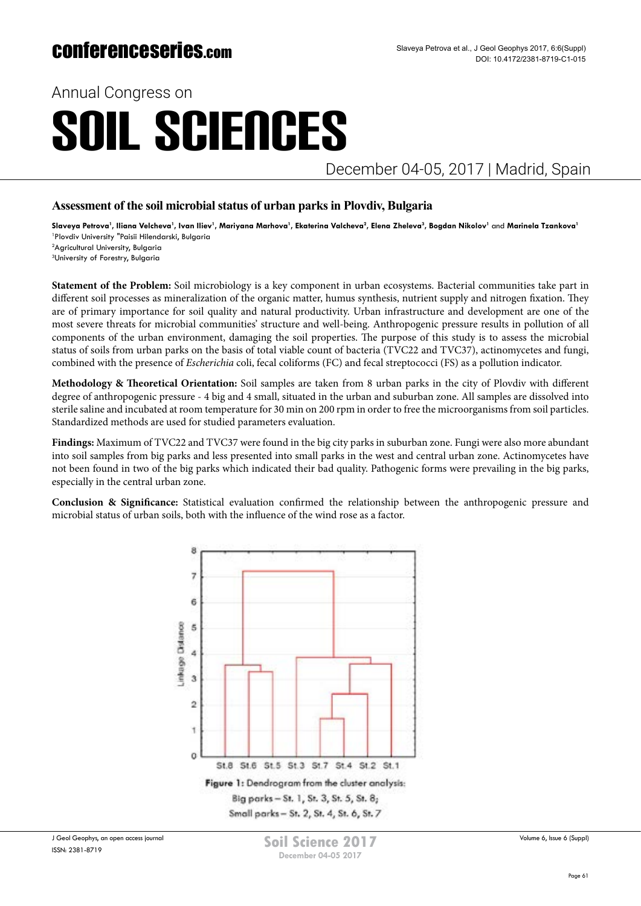Annual Congress on

# SOIL SCIENCES

December 04-05, 2017 | Madrid, Spain

### **Assessment of the soil microbial status of urban parks in Plovdiv, Bulgaria**

Slaveya Petrova', Iliana Velcheva', Ivan Iliev', Mariyana Marhova', Ekaterina Valcheva<sup>2</sup>, Elena Zheleva<sup>3</sup>, Bogdan Nikolov<sup>ı</sup> and Marinela Tzankova' 1 Plovdiv University "Paisii Hilendarski, Bulgaria

2 Agricultural University, Bulgaria

3 University of Forestry, Bulgaria

**Statement of the Problem:** Soil microbiology is a key component in urban ecosystems. Bacterial communities take part in different soil processes as mineralization of the organic matter, humus synthesis, nutrient supply and nitrogen fixation. They are of primary importance for soil quality and natural productivity. Urban infrastructure and development are one of the most severe threats for microbial communities' structure and well-being. Anthropogenic pressure results in pollution of all components of the urban environment, damaging the soil properties. The purpose of this study is to assess the microbial status of soils from urban parks on the basis of total viable count of bacteria (TVC22 and TVC37), actinomycetes and fungi, combined with the presence of *Escherichia* coli, fecal coliforms (FC) and fecal streptococci (FS) as a pollution indicator.

**Methodology & Theoretical Orientation:** Soil samples are taken from 8 urban parks in the city of Plovdiv with different degree of anthropogenic pressure - 4 big and 4 small, situated in the urban and suburban zone. All samples are dissolved into sterile saline and incubated at room temperature for 30 min on 200 rpm in order to free the microorganisms from soil particles. Standardized methods are used for studied parameters evaluation.

**Findings:** Maximum of TVC22 and TVC37 were found in the big city parks in suburban zone. Fungi were also more abundant into soil samples from big parks and less presented into small parks in the west and central urban zone. Actinomycetes have not been found in two of the big parks which indicated their bad quality. Pathogenic forms were prevailing in the big parks, especially in the central urban zone.

**Conclusion & Significance:** Statistical evaluation confirmed the relationship between the anthropogenic pressure and microbial status of urban soils, both with the influence of the wind rose as a factor.